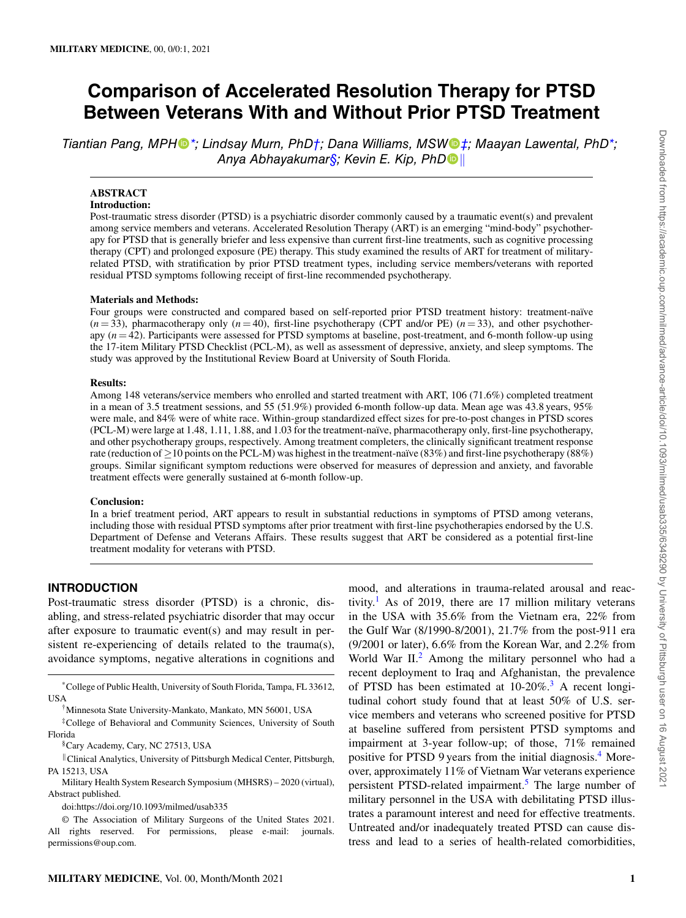# **Comparison of Accelerated Resolution Therapy for PTSD Between Veterans With and Without Prior PTSD Treatment**

*Tiantian Pang, MPH[\\*](#page-0-0); Lindsay Murn, PhD[†;](#page-0-1) Dana Williams, MSW[‡;](#page-0-2) Maayan Lawental, PhD[\\*;](#page-0-0) Anya Abhayakumar[§;](#page-0-3) Kevin E. Kip, PhD[∥](#page-0-4)*

# **ABSTRACT**

# **Introduction:**

Post-traumatic stress disorder (PTSD) is a psychiatric disorder commonly caused by a traumatic event(s) and prevalent among service members and veterans. Accelerated Resolution Therapy (ART) is an emerging "mind-body" psychotherapy for PTSD that is generally briefer and less expensive than current first-line treatments, such as cognitive processing therapy (CPT) and prolonged exposure (PE) therapy. This study examined the results of ART for treatment of militaryrelated PTSD, with stratification by prior PTSD treatment types, including service members/veterans with reported residual PTSD symptoms following receipt of first-line recommended psychotherapy.

#### **Materials and Methods:**

Four groups were constructed and compared based on self-reported prior PTSD treatment history: treatment-naïve  $(n=33)$ , pharmacotherapy only  $(n=40)$ , first-line psychotherapy (CPT and/or PE)  $(n=33)$ , and other psychotherapy (*n* = 42). Participants were assessed for PTSD symptoms at baseline, post-treatment, and 6-month follow-up using the 17-item Military PTSD Checklist (PCL-M), as well as assessment of depressive, anxiety, and sleep symptoms. The study was approved by the Institutional Review Board at University of South Florida.

#### **Results:**

Among 148 veterans/service members who enrolled and started treatment with ART, 106 (71.6%) completed treatment in a mean of 3.5 treatment sessions, and 55 (51.9%) provided 6-month follow-up data. Mean age was 43.8 years, 95% were male, and 84% were of white race. Within-group standardized effect sizes for pre-to-post changes in PTSD scores (PCL-M) were large at 1.48, 1.11, 1.88, and 1.03 for the treatment-naïve, pharmacotherapy only, first-line psychotherapy, and other psychotherapy groups, respectively. Among treatment completers, the clinically significant treatment response rate (reduction of *≥*10 points on the PCL-M) was highest in the treatment-naïve (83%) and first-line psychotherapy (88%) groups. Similar significant symptom reductions were observed for measures of depression and anxiety, and favorable treatment effects were generally sustained at 6-month follow-up.

#### **Conclusion:**

In a brief treatment period, ART appears to result in substantial reductions in symptoms of PTSD among veterans, including those with residual PTSD symptoms after prior treatment with first-line psychotherapies endorsed by the U.S. Department of Defense and Veterans Affairs. These results suggest that ART be considered as a potential first-line treatment modality for veterans with PTSD.

# **INTRODUCTION**

Post-traumatic stress disorder (PTSD) is a chronic, disabling, and stress-related psychiatric disorder that may occur after exposure to traumatic event(s) and may result in persistent re-experiencing of details related to the trauma(s), avoidance symptoms, negative alterations in cognitions and

\*College of Public Health, University of South Florida, Tampa, FL 33612, USA

<span id="page-0-1"></span><span id="page-0-0"></span>†Minnesota State University-Mankato, Mankato, MN 56001, USA

‡College of Behavioral and Community Sciences, University of South Florida

<span id="page-0-3"></span><span id="page-0-2"></span>§Cary Academy, Cary, NC 27513, USA

<span id="page-0-4"></span>*∥*Clinical Analytics, University of Pittsburgh Medical Center, Pittsburgh, PA 15213, USA

Military Health System Research Symposium (MHSRS) – 2020 (virtual), Abstract published.

doi:https://doi.org/10.1093/milmed/usab335

© The Association of Military Surgeons of the United States 2021. All rights reserved. For permissions, please e-mail: journals. permissions@oup.com.

mood, and alterations in trauma-related arousal and reac-tivity.<sup>[1](#page-7-0)</sup> As of 2019, there are 17 million military veterans in the USA with 35.6% from the Vietnam era, 22% from the Gulf War (8/1990-8/2001), 21.7% from the post-911 era (9/2001 or later), 6.6% from the Korean War, and 2.2% from World War II.<sup>[2](#page-7-1)</sup> Among the military personnel who had a recent deployment to Iraq and Afghanistan, the prevalence of PTSD has been estimated at  $10{\text -}20\%$ .<sup>[3](#page-7-2)</sup> A recent longitudinal cohort study found that at least 50% of U.S. service members and veterans who screened positive for PTSD at baseline suffered from persistent PTSD symptoms and impairment at 3-year follow-up; of those, 71% remained positive for PTSD 9 years from the initial diagnosis.[4](#page-7-3) Moreover, approximately 11% of Vietnam War veterans experience persistent PTSD-related impairment.<sup>[5](#page-7-4)</sup> The large number of military personnel in the USA with debilitating PTSD illustrates a paramount interest and need for effective treatments. Untreated and/or inadequately treated PTSD can cause distress and lead to a series of health-related comorbidities,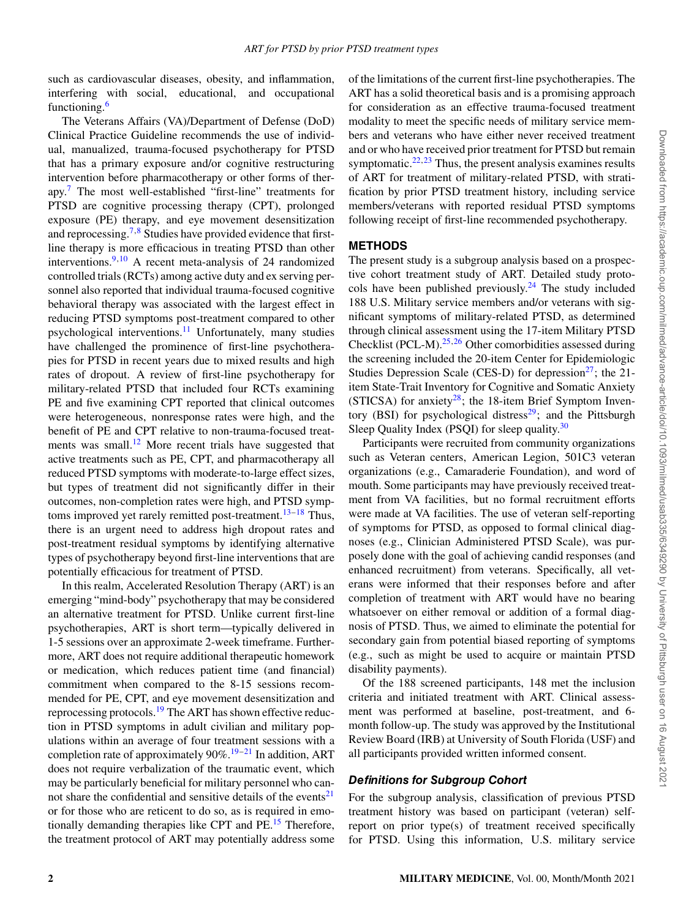such as cardiovascular diseases, obesity, and inflammation, interfering with social, educational, and occupational functioning.[6](#page-7-5)

The Veterans Affairs (VA)/Department of Defense (DoD) Clinical Practice Guideline recommends the use of individual, manualized, trauma-focused psychotherapy for PTSD that has a primary exposure and/or cognitive restructuring intervention before pharmacotherapy or other forms of therapy.[7](#page-7-6) The most well-established "first-line" treatments for PTSD are cognitive processing therapy (CPT), prolonged exposure (PE) therapy, and eye movement desensitization and reprocessing.<sup>[7](#page-7-6),[8](#page-7-7)</sup> Studies have provided evidence that firstline therapy is more efficacious in treating PTSD than other interventions. $9,10$  $9,10$  $9,10$  A recent meta-analysis of 24 randomized controlled trials (RCTs) among active duty and ex serving personnel also reported that individual trauma-focused cognitive behavioral therapy was associated with the largest effect in reducing PTSD symptoms post-treatment compared to other psychological interventions.<sup>[11](#page-7-10)</sup> Unfortunately, many studies have challenged the prominence of first-line psychotherapies for PTSD in recent years due to mixed results and high rates of dropout. A review of first-line psychotherapy for military-related PTSD that included four RCTs examining PE and five examining CPT reported that clinical outcomes were heterogeneous, nonresponse rates were high, and the benefit of PE and CPT relative to non-trauma-focused treatments was small. $^{12}$  $^{12}$  $^{12}$  More recent trials have suggested that active treatments such as PE, CPT, and pharmacotherapy all reduced PTSD symptoms with moderate-to-large effect sizes, but types of treatment did not significantly differ in their outcomes, non-completion rates were high, and PTSD symp-toms improved yet rarely remitted post-treatment.<sup>[13](#page-7-12)-[18](#page-7-13)</sup> Thus, there is an urgent need to address high dropout rates and post-treatment residual symptoms by identifying alternative types of psychotherapy beyond first-line interventions that are potentially efficacious for treatment of PTSD.

In this realm, Accelerated Resolution Therapy (ART) is an emerging "mind-body" psychotherapy that may be considered an alternative treatment for PTSD. Unlike current first-line psychotherapies, ART is short term—typically delivered in 1-5 sessions over an approximate 2-week timeframe. Furthermore, ART does not require additional therapeutic homework or medication, which reduces patient time (and financial) commitment when compared to the 8-15 sessions recommended for PE, CPT, and eye movement desensitization and reprocessing protocols.<sup>[19](#page-7-14)</sup> The ART has shown effective reduction in PTSD symptoms in adult civilian and military populations within an average of four treatment sessions with a completion rate of approximately  $90\%$ .<sup>[19](#page-7-14)–[21](#page-7-15)</sup> In addition, ART does not require verbalization of the traumatic event, which may be particularly beneficial for military personnel who can-not share the confidential and sensitive details of the events<sup>[21](#page-7-15)</sup> or for those who are reticent to do so, as is required in emo-tionally demanding therapies like CPT and PE.<sup>[15](#page-7-16)</sup> Therefore, the treatment protocol of ART may potentially address some

of the limitations of the current first-line psychotherapies. The ART has a solid theoretical basis and is a promising approach for consideration as an effective trauma-focused treatment modality to meet the specific needs of military service members and veterans who have either never received treatment and or who have received prior treatment for PTSD but remain symptomatic. $2^{2,23}$  $2^{2,23}$  $2^{2,23}$  Thus, the present analysis examines results of ART for treatment of military-related PTSD, with stratification by prior PTSD treatment history, including service members/veterans with reported residual PTSD symptoms following receipt of first-line recommended psychotherapy.

## **METHODS**

The present study is a subgroup analysis based on a prospective cohort treatment study of ART. Detailed study proto-cols have been published previously.<sup>[24](#page-7-19)</sup> The study included 188 U.S. Military service members and/or veterans with significant symptoms of military-related PTSD, as determined through clinical assessment using the 17-item Military PTSD Checklist (PCL-M). $25,26$  $25,26$  $25,26$  Other comorbidities assessed during the screening included the 20-item Center for Epidemiologic Studies Depression Scale (CES-D) for depression $27$ ; the 21item State-Trait Inventory for Cognitive and Somatic Anxiety (STICSA) for anxiety<sup>[28](#page-7-23)</sup>; the 18-item Brief Symptom Inven-tory (BSI) for psychological distress<sup>[29](#page-7-24)</sup>; and the Pittsburgh Sleep Quality Index (PSQI) for sleep quality.<sup>[30](#page-7-25)</sup>

Participants were recruited from community organizations such as Veteran centers, American Legion, 501C3 veteran organizations (e.g., Camaraderie Foundation), and word of mouth. Some participants may have previously received treatment from VA facilities, but no formal recruitment efforts were made at VA facilities. The use of veteran self-reporting of symptoms for PTSD, as opposed to formal clinical diagnoses (e.g., Clinician Administered PTSD Scale), was purposely done with the goal of achieving candid responses (and enhanced recruitment) from veterans. Specifically, all veterans were informed that their responses before and after completion of treatment with ART would have no bearing whatsoever on either removal or addition of a formal diagnosis of PTSD. Thus, we aimed to eliminate the potential for secondary gain from potential biased reporting of symptoms (e.g., such as might be used to acquire or maintain PTSD disability payments).

Of the 188 screened participants, 148 met the inclusion criteria and initiated treatment with ART. Clinical assessment was performed at baseline, post-treatment, and 6 month follow-up. The study was approved by the Institutional Review Board (IRB) at University of South Florida (USF) and all participants provided written informed consent.

## *Definitions for Subgroup Cohort*

For the subgroup analysis, classification of previous PTSD treatment history was based on participant (veteran) selfreport on prior type(s) of treatment received specifically for PTSD. Using this information, U.S. military service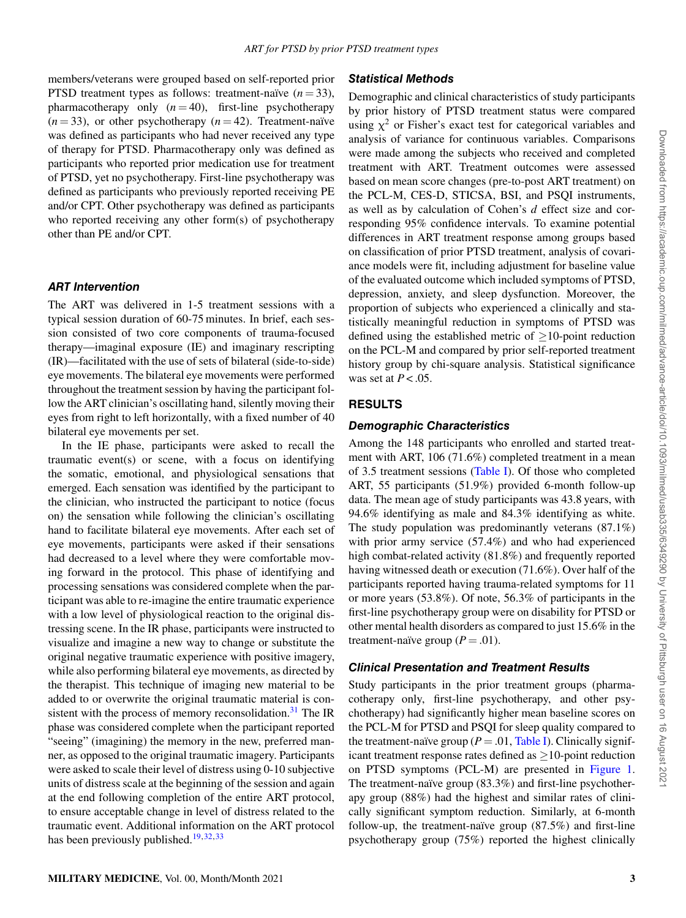members/veterans were grouped based on self-reported prior PTSD treatment types as follows: treatment-naïve  $(n=33)$ , pharmacotherapy only  $(n = 40)$ , first-line psychotherapy  $(n=33)$ , or other psychotherapy  $(n=42)$ . Treatment-naïve was defined as participants who had never received any type of therapy for PTSD. Pharmacotherapy only was defined as participants who reported prior medication use for treatment of PTSD, yet no psychotherapy. First-line psychotherapy was defined as participants who previously reported receiving PE and/or CPT. Other psychotherapy was defined as participants who reported receiving any other form(s) of psychotherapy other than PE and/or CPT.

## *ART Intervention*

The ART was delivered in 1-5 treatment sessions with a typical session duration of 60-75 minutes. In brief, each session consisted of two core components of trauma-focused therapy—imaginal exposure (IE) and imaginary rescripting (IR)—facilitated with the use of sets of bilateral (side-to-side) eye movements. The bilateral eye movements were performed throughout the treatment session by having the participant follow the ART clinician's oscillating hand, silently moving their eyes from right to left horizontally, with a fixed number of 40 bilateral eye movements per set.

In the IE phase, participants were asked to recall the traumatic event(s) or scene, with a focus on identifying the somatic, emotional, and physiological sensations that emerged. Each sensation was identified by the participant to the clinician, who instructed the participant to notice (focus on) the sensation while following the clinician's oscillating hand to facilitate bilateral eye movements. After each set of eye movements, participants were asked if their sensations had decreased to a level where they were comfortable moving forward in the protocol. This phase of identifying and processing sensations was considered complete when the participant was able to re-imagine the entire traumatic experience with a low level of physiological reaction to the original distressing scene. In the IR phase, participants were instructed to visualize and imagine a new way to change or substitute the original negative traumatic experience with positive imagery, while also performing bilateral eye movements, as directed by the therapist. This technique of imaging new material to be added to or overwrite the original traumatic material is con-sistent with the process of memory reconsolidation.<sup>[31](#page-7-26)</sup> The IR phase was considered complete when the participant reported "seeing" (imagining) the memory in the new, preferred manner, as opposed to the original traumatic imagery. Participants were asked to scale their level of distress using 0-10 subjective units of distress scale at the beginning of the session and again at the end following completion of the entire ART protocol, to ensure acceptable change in level of distress related to the traumatic event. Additional information on the ART protocol has been previously published.<sup>[19](#page-7-14),[32](#page-7-27),[33](#page-7-28)</sup>

## *Statistical Methods*

Demographic and clinical characteristics of study participants by prior history of PTSD treatment status were compared using  $\chi^2$  or Fisher's exact test for categorical variables and analysis of variance for continuous variables. Comparisons were made among the subjects who received and completed treatment with ART. Treatment outcomes were assessed based on mean score changes (pre-to-post ART treatment) on the PCL-M, CES-D, STICSA, BSI, and PSQI instruments, as well as by calculation of Cohen's *d* effect size and corresponding 95% confidence intervals. To examine potential differences in ART treatment response among groups based on classification of prior PTSD treatment, analysis of covariance models were fit, including adjustment for baseline value of the evaluated outcome which included symptoms of PTSD, depression, anxiety, and sleep dysfunction. Moreover, the proportion of subjects who experienced a clinically and statistically meaningful reduction in symptoms of PTSD was defined using the established metric of *≥*10-point reduction on the PCL-M and compared by prior self-reported treatment history group by chi-square analysis. Statistical significance was set at *P* < .05.

## **RESULTS**

#### *Demographic Characteristics*

Among the 148 participants who enrolled and started treatment with ART, 106 (71.6%) completed treatment in a mean of 3.5 treatment sessions (Table I). Of those who completed ART, 55 participants (51.9%) provided 6-month follow-up data. The mean age of study participants was 43.8 years, with 94.6% identifying as male and 84.3% identifying as white. The study population was predominantly veterans (87.1%) with prior army service (57.4%) and who had experienced high combat-related activity (81.8%) and frequently reported having witnessed death or execution (71.6%). Over half of the participants reported having trauma-related symptoms for 11 or more years (53.8%). Of note, 56.3% of participants in the first-line psychotherapy group were on disability for PTSD or other mental health disorders as compared to just 15.6% in the treatment-naïve group  $(P = .01)$ .

## *Clinical Presentation and Treatment Results*

Study participants in the prior treatment groups (pharmacotherapy only, first-line psychotherapy, and other psychotherapy) had significantly higher mean baseline scores on the PCL-M for PTSD and PSQI for sleep quality compared to the treatment-naïve group ( $P = .01$ , Table I). Clinically significant treatment response rates defined as *≥*10-point reduction on PTSD symptoms (PCL-M) are presented in [Figure 1](#page-4-0). The treatment-naïve group (83.3%) and first-line psychotherapy group (88%) had the highest and similar rates of clinically significant symptom reduction. Similarly, at 6-month follow-up, the treatment-naïve group (87.5%) and first-line psychotherapy group (75%) reported the highest clinically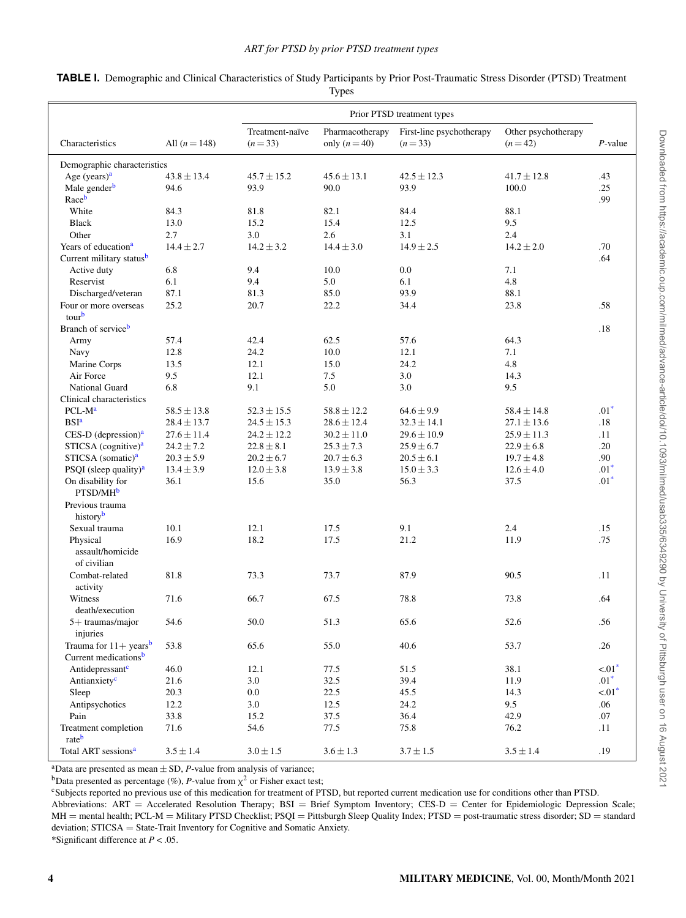|                                                |                 |                 |                 | Prior PTSD treatment types |                     |             |
|------------------------------------------------|-----------------|-----------------|-----------------|----------------------------|---------------------|-------------|
|                                                |                 | Treatment-naïve | Pharmacotherapy | First-line psychotherapy   | Other psychotherapy |             |
| Characteristics                                | All $(n = 148)$ | $(n=33)$        | only $(n=40)$   | $(n=33)$                   | $(n=42)$            | $P$ -value  |
| Demographic characteristics                    |                 |                 |                 |                            |                     |             |
| Age (years) <sup>a</sup>                       | $43.8 \pm 13.4$ | $45.7 \pm 15.2$ | $45.6 \pm 13.1$ | $42.5 \pm 12.3$            | $41.7 \pm 12.8$     | .43         |
| Male gender <sup>b</sup>                       | 94.6            | 93.9            | 90.0            | 93.9                       | 100.0               | .25         |
| Raceb                                          |                 |                 |                 |                            |                     | .99         |
| White                                          | 84.3            | 81.8            | 82.1            | 84.4                       | 88.1                |             |
| <b>Black</b>                                   | 13.0            | 15.2            | 15.4            | 12.5                       | 9.5                 |             |
| Other                                          | 2.7             | 3.0             | 2.6             | 3.1                        | 2.4                 |             |
| Years of education <sup>a</sup>                | $14.4 \pm 2.7$  | $14.2 \pm 3.2$  | $14.4 \pm 3.0$  | $14.9 \pm 2.5$             | $14.2 \pm 2.0$      | .70         |
| Current military statusb                       |                 |                 |                 |                            |                     | .64         |
| Active duty                                    | 6.8             | 9.4             | 10.0            | 0.0                        | 7.1                 |             |
| Reservist                                      | 6.1             | 9.4             | 5.0             | 6.1                        | 4.8                 |             |
| Discharged/veteran                             | 87.1            | 81.3            | 85.0            | 93.9                       | 88.1                |             |
| Four or more overseas                          | 25.2            | 20.7            | 22.2            | 34.4                       | 23.8                | .58         |
| tourb                                          |                 |                 |                 |                            |                     |             |
| Branch of service <sup>b</sup>                 |                 |                 |                 |                            |                     | .18         |
| Army                                           | 57.4            | 42.4            | 62.5            | 57.6                       | 64.3                |             |
| Navy                                           | 12.8            | 24.2            | 10.0            | 12.1                       | 7.1                 |             |
| Marine Corps                                   | 13.5            | 12.1            | 15.0            | 24.2                       | 4.8                 |             |
| Air Force                                      | 9.5             | 12.1            | 7.5             | 3.0                        | 14.3                |             |
| <b>National Guard</b>                          | 6.8             | 9.1             | 5.0             | 3.0                        | 9.5                 |             |
| Clinical characteristics                       |                 |                 |                 |                            |                     |             |
| PCL-M <sup>a</sup>                             | $58.5 \pm 13.8$ | $52.3 \pm 15.5$ | $58.8 \pm 12.2$ | $64.6 \pm 9.9$             | $58.4 \pm 14.8$     | $.01*$      |
| <b>BSI</b> <sup>a</sup>                        | $28.4 \pm 13.7$ | $24.5 \pm 15.3$ | $28.6 \pm 12.4$ | $32.3 \pm 14.1$            | $27.1 \pm 13.6$     | .18         |
| $CES-D$ (depression) <sup>a</sup>              | $27.6 \pm 11.4$ | $24.2 \pm 12.2$ | $30.2 \pm 11.0$ | $29.6 \pm 10.9$            | $25.9 \pm 11.3$     | .11         |
| STICSA $(cognitive)a$                          | $24.2 \pm 7.2$  | $22.8 \pm 8.1$  | $25.3 \pm 7.3$  | $25.9 \pm 6.7$             | $22.9 \pm 6.8$      | .20         |
| STICSA (somatic) <sup>a</sup>                  | $20.3 \pm 5.9$  | $20.2 \pm 6.7$  | $20.7 \pm 6.3$  | $20.5 \pm 6.1$             | $19.7 \pm 4.8$      | .90         |
| PSQI (sleep quality) <sup><math>a</math></sup> | $13.4 \pm 3.9$  | $12.0 \pm 3.8$  | $13.9 \pm 3.8$  | $15.0 \pm 3.3$             | $12.6 \pm 4.0$      | $.01*$      |
| On disability for<br>PTSD/MH <sup>b</sup>      | 36.1            | 15.6            | 35.0            | 56.3                       | 37.5                | $.01*$      |
| Previous trauma                                |                 |                 |                 |                            |                     |             |
| history <sup>b</sup>                           |                 |                 |                 |                            |                     |             |
| Sexual trauma                                  | 10.1            | 12.1            | 17.5            | 9.1                        | 2.4                 | .15         |
| Physical                                       | 16.9            | 18.2            | 17.5            | 21.2                       | 11.9                | .75         |
| assault/homicide                               |                 |                 |                 |                            |                     |             |
| of civilian                                    |                 |                 |                 |                            |                     |             |
| Combat-related<br>activity                     | 81.8            | 73.3            | 73.7            | 87.9                       | 90.5                | .11         |
| Witness                                        | 71.6            | 66.7            | 67.5            | 78.8                       | 73.8                | .64         |
| death/execution                                |                 |                 |                 |                            |                     |             |
| 5+ traumas/major<br>injuries                   | 54.6            | 50.0            | 51.3            | 65.6                       | 52.6                | .56         |
| Trauma for $11 + \text{years}^b$               | 53.8            | 65.6            | 55.0            | 40.6                       | 53.7                | .26         |
| Current medications <sup>b</sup>               |                 |                 |                 |                            |                     |             |
| Antidepressant <sup>c</sup>                    | 46.0            | 12.1            | 77.5            | 51.5                       | 38.1                | $< 01*$     |
| Antianxiety <sup>c</sup>                       | 21.6            | 3.0             | 32.5            | 39.4                       | 11.9                | $.01*$      |
| Sleep                                          | 20.3            | 0.0             | 22.5            | 45.5                       | 14.3                | $\leq 01^*$ |
| Antipsychotics                                 | 12.2            | 3.0             | 12.5            | 24.2                       | 9.5                 | .06         |
| Pain                                           | 33.8            | 15.2            | 37.5            | 36.4                       | 42.9                | .07         |
| Treatment completion                           | 71.6            | 54.6            | 77.5            | 75.8                       | 76.2                | .11         |
| rateb<br>Total ART sessions <sup>a</sup>       | $3.5 \pm 1.4$   | $3.0 \pm 1.5$   | $3.6 \pm 1.3$   | $3.7 \pm 1.5$              | $3.5 \pm 1.4$       | .19         |

| TABLE I. Demographic and Clinical Characteristics of Study Participants by Prior Post-Traumatic Stress Disorder (PTSD) Treatment |  |
|----------------------------------------------------------------------------------------------------------------------------------|--|
| Types                                                                                                                            |  |

<span id="page-3-0"></span><sup>a</sup>Data are presented as mean  $\pm$  SD, *P*-value from analysis of variance; <sup>b</sup>Data presented as percentage (%), *P*-value from  $\chi^2$  or Fisher exact test;

<span id="page-3-1"></span><sup>c</sup>Subjects reported no previous use of this medication for treatment of PTSD, but reported current medication use for conditions other than PTSD.

<span id="page-3-3"></span>Abbreviations: ART = Accelerated Resolution Therapy; BSI = Brief Symptom Inventory; CES-D = Center for Epidemiologic Depression Scale; MH = mental health; PCL-M = Military PTSD Checklist; PSQI = Pittsburgh Sleep Quality Index; PTSD = post-traumatic stress disorder; SD = standard deviation; STICSA = State-Trait Inventory for Cognitive and Somatic Anxiety.

<span id="page-3-2"></span>\*Significant difference at *P* < .05.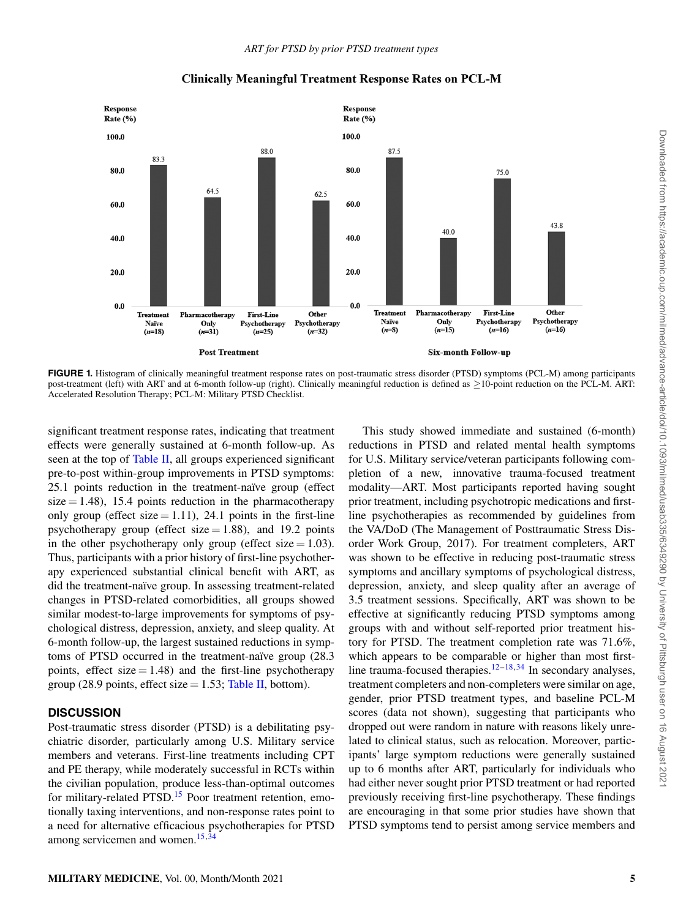<span id="page-4-0"></span>

#### **Clinically Meaningful Treatment Response Rates on PCL-M**

**FIGURE 1.** Histogram of clinically meaningful treatment response rates on post-traumatic stress disorder (PTSD) symptoms (PCL-M) among participants post-treatment (left) with ART and at 6-month follow-up (right). Clinically meaningful reduction is defined as *≥*10-point reduction on the PCL-M. ART: Accelerated Resolution Therapy; PCL-M: Military PTSD Checklist.

significant treatment response rates, indicating that treatment effects were generally sustained at 6-month follow-up. As seen at the top of Table II, all groups experienced significant pre-to-post within-group improvements in PTSD symptoms: 25.1 points reduction in the treatment-naïve group (effect  $size = 1.48$ ), 15.4 points reduction in the pharmacotherapy only group (effect size  $= 1.11$ ), 24.1 points in the first-line psychotherapy group (effect size  $= 1.88$ ), and 19.2 points in the other psychotherapy only group (effect size  $= 1.03$ ). Thus, participants with a prior history of first-line psychotherapy experienced substantial clinical benefit with ART, as did the treatment-naïve group. In assessing treatment-related changes in PTSD-related comorbidities, all groups showed similar modest-to-large improvements for symptoms of psychological distress, depression, anxiety, and sleep quality. At 6-month follow-up, the largest sustained reductions in symptoms of PTSD occurred in the treatment-naïve group (28.3 points, effect size  $= 1.48$ ) and the first-line psychotherapy group (28.9 points, effect size  $= 1.53$ ; Table II, bottom).

# **DISCUSSION**

Post-traumatic stress disorder (PTSD) is a debilitating psychiatric disorder, particularly among U.S. Military service members and veterans. First-line treatments including CPT and PE therapy, while moderately successful in RCTs within the civilian population, produce less-than-optimal outcomes for military-related PTSD.<sup>[15](#page-7-16)</sup> Poor treatment retention, emotionally taxing interventions, and non-response rates point to a need for alternative efficacious psychotherapies for PTSD among servicemen and women.<sup>[15](#page-7-16),[34](#page-7-29)</sup>

This study showed immediate and sustained (6-month) reductions in PTSD and related mental health symptoms for U.S. Military service/veteran participants following completion of a new, innovative trauma-focused treatment modality—ART. Most participants reported having sought prior treatment, including psychotropic medications and firstline psychotherapies as recommended by guidelines from the VA/DoD (The Management of Posttraumatic Stress Disorder Work Group, 2017). For treatment completers, ART was shown to be effective in reducing post-traumatic stress symptoms and ancillary symptoms of psychological distress, depression, anxiety, and sleep quality after an average of 3.5 treatment sessions. Specifically, ART was shown to be effective at significantly reducing PTSD symptoms among groups with and without self-reported prior treatment history for PTSD. The treatment completion rate was 71.6%, which appears to be comparable or higher than most first-line trauma-focused therapies.<sup>[12](#page-7-11)–[18](#page-7-13),[34](#page-7-29)</sup> In secondary analyses, treatment completers and non-completers were similar on age, gender, prior PTSD treatment types, and baseline PCL-M scores (data not shown), suggesting that participants who dropped out were random in nature with reasons likely unrelated to clinical status, such as relocation. Moreover, participants' large symptom reductions were generally sustained up to 6 months after ART, particularly for individuals who had either never sought prior PTSD treatment or had reported previously receiving first-line psychotherapy. These findings are encouraging in that some prior studies have shown that PTSD symptoms tend to persist among service members and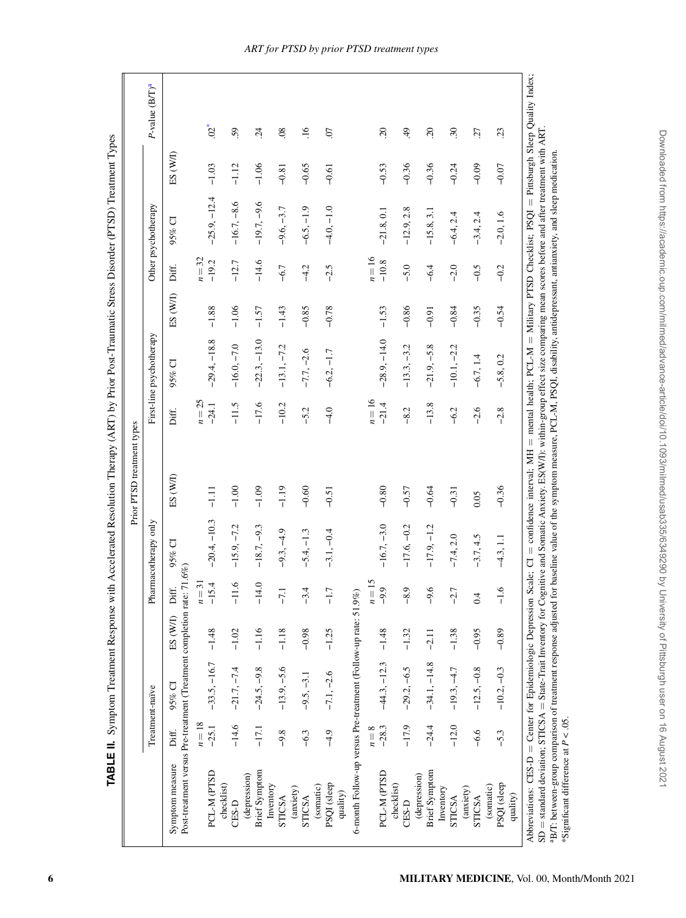| Symptom measure                                                            |                 |                |          |          |                      |          |          |                          |          |          |                     |          |                            |
|----------------------------------------------------------------------------|-----------------|----------------|----------|----------|----------------------|----------|----------|--------------------------|----------|----------|---------------------|----------|----------------------------|
|                                                                            | Treatment-naïve |                |          |          | Pharmacotherapy only |          |          | First-line psychotherapy |          |          | Other psychotherapy |          | P-value (B/T) <sup>a</sup> |
| Post-treatment versus Pre-treatment (Treatment completion rate: 71.6%)     | Diff.           | 95% CI         | ES (W/I) | Diff.    | 95% CI               | ES (W/I) | Diff.    | 95% CI                   | ES (W/I) | Diff.    | $95\%$ CI           | ES (W/I) |                            |
|                                                                            | $n=18$          |                |          | $n=31$   |                      |          | $n=25$   |                          |          | $n=32$   |                     |          |                            |
| PCL-M (PTSD                                                                | $-25.1$         | $-33.5, -16.7$ | $-1.48$  | $-15.4$  | $-20.4, -10.3$       | $-1.11$  | $-24.1$  | $-29.4, -18.8$           | $-1.88$  | $-19.2$  | $-25.9, -12.4$      | $-1.03$  | $02*$                      |
| checklist)<br>CES-D                                                        |                 |                |          |          |                      |          |          |                          |          |          |                     |          |                            |
| (depression)                                                               | $-14.6$         | $-21.7, -7.4$  | $-1.02$  | ب<br>두   | $-15.9, -7.2$        | $-1.00$  | $-11.5$  | $-16.0, -7.0$            | $-1.06$  | $-12.7$  | $-16.7, -8.6$       | $-1.12$  | 59                         |
| <b>Brief Symptom</b>                                                       | $-17.1$         | $-24.5, -9.8$  | $-1.16$  | $-14.0$  | $-18.7, -9.3$        | $-1.09$  | $-17.6$  | $-22.3, -13.0$           | $-1.57$  | $-14.6$  | $-19.7, -9.6$       | $-1.06$  | $\ddot{c}$                 |
| Inventory<br>STICSA                                                        | $-9.8$          | $-13.9, -5.6$  | $-1.18$  | $-7.1$   | $-9.3, -4.9$         | $-1.19$  | $-10.2$  | $-13.1, -7.2$            | $-1.43$  | $-6.7$   | $-9.6, -3.7$        | $-0.81$  | $\overline{0}$             |
| (anxiety)<br>STICSA                                                        | $-6.3$          | $-9.5, -3.1$   | $-0.98$  | $-3.4$   | $-5.4, -1.3$         | $-0.60$  | $-5.2$   | $-7.7, -2.6$             | $-0.85$  | $-4.2$   | $-6.5, -1.9$        | $-0.65$  | $\frac{6}{1}$              |
| PSQI (sleep<br>(somatic)                                                   | $-4.9$          | $-7.1, -2.6$   | $-1.25$  | $-1.7$   | $-3.1, -0.4$         | $-0.51$  | $-4.0$   | $-6.2, -1.7$             | $-0.78$  | $-2.5$   | $-4.0, -1.0$        | $-0.61$  | $\overline{C}$             |
| 6-month Follow-up versus Pre-treatment (Follow-up rate: 51.9%)<br>quality) |                 |                |          |          |                      |          |          |                          |          |          |                     |          |                            |
|                                                                            | $n=8$           |                |          | $n = 15$ |                      |          | $n = 16$ |                          |          | $n = 16$ |                     |          |                            |
| PCL-M (PTSD                                                                | $-28.3$         | $-44.3, -12.3$ | $-1.48$  | $-9.9$   | $-16.7, -3.0$        | $-0.80$  | $-21.4$  | $-28.9, -14.0$           | $-1.53$  | $-10.8$  | $-21.8, 0.1$        | $-0.53$  | $\overline{c}$             |
| checklist)<br>CES-D                                                        | $-17.9$         | $-29.2, -6.5$  | $-1.32$  | $-8.9$   | $-17.6, -0.2$        | $-0.57$  | $-8.2$   | $-13.3, -3.2$            | $-0.86$  | $-5.0$   | $-12.9, 2.8$        | $-0.36$  | $\ddot{ }$                 |
| <b>Brief Symptom</b><br>(depression)                                       | $-24.4$         | $-34.1, -14.8$ | $-2.11$  | $-9.6$   | $-17.9, -1.2$        | $-0.64$  | $-13.8$  | $-21.9, -5.8$            | $-0.91$  | $-6.4$   | $-15.8, 3.1$        | $-0.36$  | $\overline{c}$             |
| Inventory<br>STICSA                                                        | $-12.0$         | $-19.3, -4.7$  | $-1.38$  | $-2.7$   | $-7.4, 2.0$          | $-0.31$  | $-6.2$   | $-10.1, -2.2$            | $-0.84$  | $-2.0$   | $-6.4, 2.4$         | $-0.24$  | 30                         |
| (anxiety)<br>STICSA                                                        | $-6.6$          | $-12.5, -0.8$  | $-0.95$  | 0.4      | $-3.7, 4.5$          | 0.05     | $-2.6$   | $-6.7, 1.4$              | $-0.35$  | $-0.5$   | $-3.4, 2.4$         | $-0.09$  | 27                         |
| (somatic)                                                                  |                 |                |          |          |                      |          |          |                          |          |          |                     |          |                            |
| PSQI (sleep<br>quality)                                                    | $-5.3$          | $-10.2, -0.3$  | $-0.89$  | $-1.6$   | $-4.3, 1.1$          | $-0.36$  | $-2.8$   | $-5.8, 0.2$              | $-0.54$  | $-0.2$   | $-2.0, 1.6$         | $-0.07$  | 23                         |
|                                                                            |                 |                |          |          |                      |          |          |                          |          |          |                     |          |                            |

TABLE II. Symptom Treatment Response with Accelerated Resolution Therapy (ART) by Prior Post-Traumatic Stress Disorder (PTSD) Treatment Types **TABLE II.** Symptom Treatment Response with Accelerated Resolution Therapy (ART) by Prior Post-Traumatic Stress Disorder (PTSD) Treatment Types

<span id="page-5-0"></span>**6 MILITARY MEDICINE**, Vol. 00, Month/Month 2021

aB/T: between-group comparison of treatment response adjusted for baseline value of the symptom measure, PCL-M, PSQI, disability, antidepressant, antianxiety, and sleep medication.

\*Significant difference at *P* < .05.

\*Significant difference at  $P < .05$ .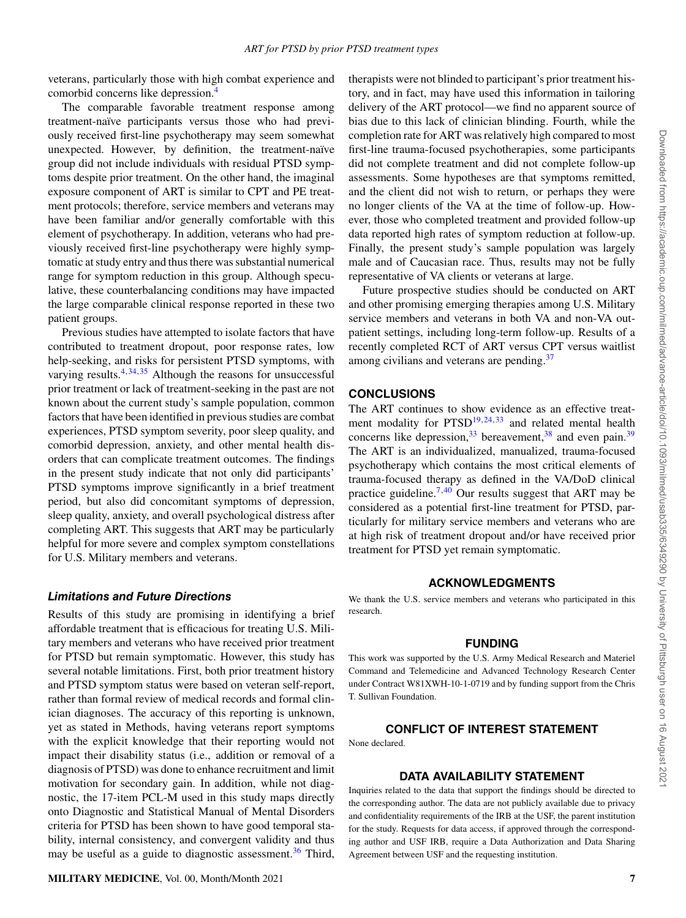veterans, particularly those with high combat experience and comorbid concerns like depression.[4](#page-7-3)

The comparable favorable treatment response among treatment-naïve participants versus those who had previously received first-line psychotherapy may seem somewhat unexpected. However, by definition, the treatment-naïve group did not include individuals with residual PTSD symptoms despite prior treatment. On the other hand, the imaginal exposure component of ART is similar to CPT and PE treatment protocols; therefore, service members and veterans may have been familiar and/or generally comfortable with this element of psychotherapy. In addition, veterans who had previously received first-line psychotherapy were highly symptomatic at study entry and thus there was substantial numerical range for symptom reduction in this group. Although speculative, these counterbalancing conditions may have impacted the large comparable clinical response reported in these two patient groups.

Previous studies have attempted to isolate factors that have contributed to treatment dropout, poor response rates, low help-seeking, and risks for persistent PTSD symptoms, with varying results. $4,34,35$  $4,34,35$  $4,34,35$  $4,34,35$  $4,34,35$  Although the reasons for unsuccessful prior treatment or lack of treatment-seeking in the past are not known about the current study's sample population, common factors that have been identified in previous studies are combat experiences, PTSD symptom severity, poor sleep quality, and comorbid depression, anxiety, and other mental health disorders that can complicate treatment outcomes. The findings in the present study indicate that not only did participants' PTSD symptoms improve significantly in a brief treatment period, but also did concomitant symptoms of depression, sleep quality, anxiety, and overall psychological distress after completing ART. This suggests that ART may be particularly helpful for more severe and complex symptom constellations for U.S. Military members and veterans.

#### *Limitations and Future Directions*

Results of this study are promising in identifying a brief affordable treatment that is efficacious for treating U.S. Military members and veterans who have received prior treatment for PTSD but remain symptomatic. However, this study has several notable limitations. First, both prior treatment history and PTSD symptom status were based on veteran self-report, rather than formal review of medical records and formal clinician diagnoses. The accuracy of this reporting is unknown, yet as stated in Methods, having veterans report symptoms with the explicit knowledge that their reporting would not impact their disability status (i.e., addition or removal of a diagnosis of PTSD) was done to enhance recruitment and limit motivation for secondary gain. In addition, while not diagnostic, the 17-item PCL-M used in this study maps directly onto Diagnostic and Statistical Manual of Mental Disorders criteria for PTSD has been shown to have good temporal stability, internal consistency, and convergent validity and thus may be useful as a guide to diagnostic assessment.<sup>[36](#page-7-31)</sup> Third,

therapists were not blinded to participant's prior treatment history, and in fact, may have used this information in tailoring delivery of the ART protocol—we find no apparent source of bias due to this lack of clinician blinding. Fourth, while the completion rate for ART was relatively high compared to most first-line trauma-focused psychotherapies, some participants did not complete treatment and did not complete follow-up assessments. Some hypotheses are that symptoms remitted, and the client did not wish to return, or perhaps they were no longer clients of the VA at the time of follow-up. However, those who completed treatment and provided follow-up data reported high rates of symptom reduction at follow-up. Finally, the present study's sample population was largely male and of Caucasian race. Thus, results may not be fully representative of VA clients or veterans at large.

Future prospective studies should be conducted on ART and other promising emerging therapies among U.S. Military service members and veterans in both VA and non-VA outpatient settings, including long-term follow-up. Results of a recently completed RCT of ART versus CPT versus waitlist among civilians and veterans are pending.<sup>[37](#page-8-0)</sup>

## **CONCLUSIONS**

The ART continues to show evidence as an effective treatment modality for  $PTSD<sup>19,24,33</sup>$  $PTSD<sup>19,24,33</sup>$  $PTSD<sup>19,24,33</sup>$  $PTSD<sup>19,24,33</sup>$  $PTSD<sup>19,24,33</sup>$  $PTSD<sup>19,24,33</sup>$  $PTSD<sup>19,24,33</sup>$  and related mental health concerns like depression,  $33$  bereavement,  $38$  and even pain.  $39$ The ART is an individualized, manualized, trauma-focused psychotherapy which contains the most critical elements of trauma-focused therapy as defined in the VA/DoD clinical practice guideline.<sup>[7](#page-7-6),[40](#page-8-3)</sup> Our results suggest that ART may be considered as a potential first-line treatment for PTSD, particularly for military service members and veterans who are at high risk of treatment dropout and/or have received prior treatment for PTSD yet remain symptomatic.

#### **ACKNOWLEDGMENTS**

We thank the U.S. service members and veterans who participated in this research.

#### **FUNDING**

This work was supported by the U.S. Army Medical Research and Materiel Command and Telemedicine and Advanced Technology Research Center under Contract W81XWH-10-1-0719 and by funding support from the Chris T. Sullivan Foundation.

## **CONFLICT OF INTEREST STATEMENT**

None declared.

# **DATA AVAILABILITY STATEMENT**

Inquiries related to the data that support the findings should be directed to the corresponding author. The data are not publicly available due to privacy and confidentiality requirements of the IRB at the USF, the parent institution for the study. Requests for data access, if approved through the corresponding author and USF IRB, require a Data Authorization and Data Sharing Agreement between USF and the requesting institution.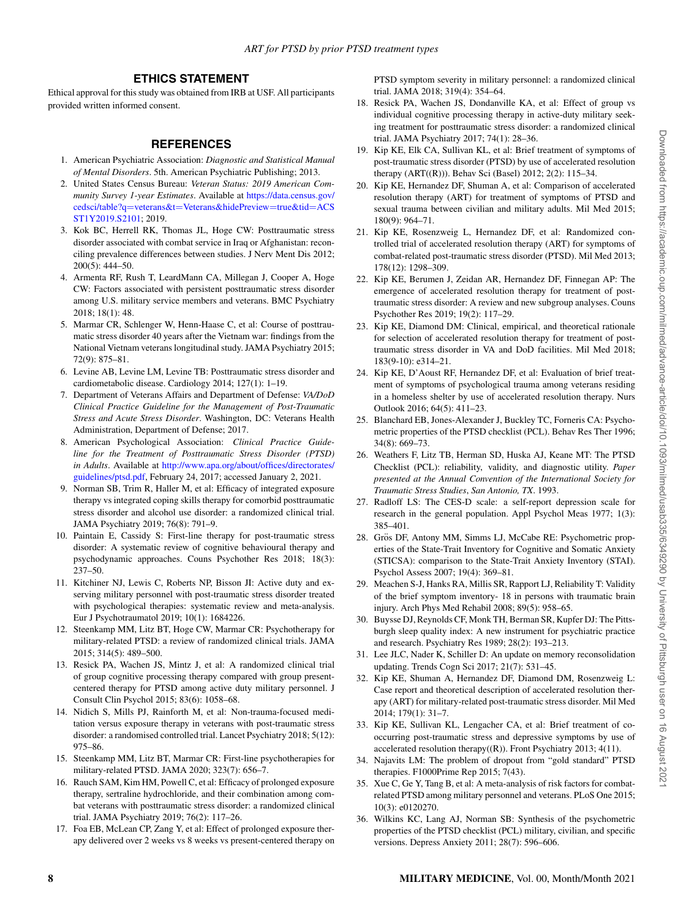# **ETHICS STATEMENT**

Ethical approval for this study was obtained from IRB at USF. All participants provided written informed consent.

# **REFERENCES**

- <span id="page-7-0"></span>1. American Psychiatric Association: *Diagnostic and Statistical Manual of Mental Disorders*. 5th. American Psychiatric Publishing; 2013.
- <span id="page-7-1"></span>2. United States Census Bureau: *Veteran Status: 2019 American Community Survey 1-year Estimates*. Available at [https://data.census.gov/](https://data.census.gov/cedsci/table?q=veterans&t=Veterans&hidePreview=true&tid=ACSST1Y2019.S2101) cedsci/table?q=veterans&t=[Veterans&hidePreview](https://data.census.gov/cedsci/table?q=veterans&t=Veterans&hidePreview=true&tid=ACSST1Y2019.S2101)=true&tid=ACS [ST1Y2019.S2101](https://data.census.gov/cedsci/table?q=veterans&t=Veterans&hidePreview=true&tid=ACSST1Y2019.S2101); 2019.
- <span id="page-7-2"></span>3. Kok BC, Herrell RK, Thomas JL, Hoge CW: Posttraumatic stress disorder associated with combat service in Iraq or Afghanistan: reconciling prevalence differences between studies. J Nerv Ment Dis 2012; 200(5): 444–50.
- <span id="page-7-3"></span>4. Armenta RF, Rush T, LeardMann CA, Millegan J, Cooper A, Hoge CW: Factors associated with persistent posttraumatic stress disorder among U.S. military service members and veterans. BMC Psychiatry 2018; 18(1): 48.
- <span id="page-7-4"></span>5. Marmar CR, Schlenger W, Henn-Haase C, et al: Course of posttraumatic stress disorder 40 years after the Vietnam war: findings from the National Vietnam veterans longitudinal study. JAMA Psychiatry 2015; 72(9): 875–81.
- <span id="page-7-5"></span>6. Levine AB, Levine LM, Levine TB: Posttraumatic stress disorder and cardiometabolic disease. Cardiology 2014; 127(1): 1–19.
- <span id="page-7-6"></span>7. Department of Veterans Affairs and Department of Defense: *VA/DoD Clinical Practice Guideline for the Management of Post-Traumatic Stress and Acute Stress Disorder*. Washington, DC: Veterans Health Administration, Department of Defense; 2017.
- <span id="page-7-7"></span>8. American Psychological Association: *Clinical Practice Guideline for the Treatment of Posttraumatic Stress Disorder (PTSD) in Adults*. Available at [http://www.apa.org/about/offices/directorates/](http://www.apa.org/about/offices/directorates/guidelines/ptsd.pdf) [guidelines/ptsd.pdf,](http://www.apa.org/about/offices/directorates/guidelines/ptsd.pdf) February 24, 2017; accessed January 2, 2021.
- <span id="page-7-8"></span>9. Norman SB, Trim R, Haller M, et al: Efficacy of integrated exposure therapy vs integrated coping skills therapy for comorbid posttraumatic stress disorder and alcohol use disorder: a randomized clinical trial. JAMA Psychiatry 2019; 76(8): 791–9.
- <span id="page-7-9"></span>10. Paintain E, Cassidy S: First-line therapy for post-traumatic stress disorder: A systematic review of cognitive behavioural therapy and psychodynamic approaches. Couns Psychother Res 2018; 18(3): 237–50.
- <span id="page-7-10"></span>11. Kitchiner NJ, Lewis C, Roberts NP, Bisson JI: Active duty and exserving military personnel with post-traumatic stress disorder treated with psychological therapies: systematic review and meta-analysis. Eur J Psychotraumatol 2019; 10(1): 1684226.
- <span id="page-7-11"></span>12. Steenkamp MM, Litz BT, Hoge CW, Marmar CR: Psychotherapy for military-related PTSD: a review of randomized clinical trials. JAMA 2015; 314(5): 489–500.
- <span id="page-7-12"></span>13. Resick PA, Wachen JS, Mintz J, et al: A randomized clinical trial of group cognitive processing therapy compared with group presentcentered therapy for PTSD among active duty military personnel. J Consult Clin Psychol 2015; 83(6): 1058–68.
- 14. Nidich S, Mills PJ, Rainforth M, et al: Non-trauma-focused meditation versus exposure therapy in veterans with post-traumatic stress disorder: a randomised controlled trial. Lancet Psychiatry 2018; 5(12): 975–86.
- <span id="page-7-16"></span>15. Steenkamp MM, Litz BT, Marmar CR: First-line psychotherapies for military-related PTSD. JAMA 2020; 323(7): 656–7.
- 16. Rauch SAM, Kim HM, Powell C, et al: Efficacy of prolonged exposure therapy, sertraline hydrochloride, and their combination among combat veterans with posttraumatic stress disorder: a randomized clinical trial. JAMA Psychiatry 2019; 76(2): 117–26.
- 17. Foa EB, McLean CP, Zang Y, et al: Effect of prolonged exposure therapy delivered over 2 weeks vs 8 weeks vs present-centered therapy on

PTSD symptom severity in military personnel: a randomized clinical trial. JAMA 2018; 319(4): 354–64.

- <span id="page-7-13"></span>18. Resick PA, Wachen JS, Dondanville KA, et al: Effect of group vs individual cognitive processing therapy in active-duty military seeking treatment for posttraumatic stress disorder: a randomized clinical trial. JAMA Psychiatry 2017; 74(1): 28–36.
- <span id="page-7-14"></span>19. Kip KE, Elk CA, Sullivan KL, et al: Brief treatment of symptoms of post-traumatic stress disorder (PTSD) by use of accelerated resolution therapy (ART((R))). Behav Sci (Basel) 2012; 2(2): 115–34.
- 20. Kip KE, Hernandez DF, Shuman A, et al: Comparison of accelerated resolution therapy (ART) for treatment of symptoms of PTSD and sexual trauma between civilian and military adults. Mil Med 2015; 180(9): 964–71.
- <span id="page-7-15"></span>21. Kip KE, Rosenzweig L, Hernandez DF, et al: Randomized controlled trial of accelerated resolution therapy (ART) for symptoms of combat-related post-traumatic stress disorder (PTSD). Mil Med 2013; 178(12): 1298–309.
- <span id="page-7-17"></span>22. Kip KE, Berumen J, Zeidan AR, Hernandez DF, Finnegan AP: The emergence of accelerated resolution therapy for treatment of posttraumatic stress disorder: A review and new subgroup analyses. Couns Psychother Res 2019; 19(2): 117–29.
- <span id="page-7-18"></span>23. Kip KE, Diamond DM: Clinical, empirical, and theoretical rationale for selection of accelerated resolution therapy for treatment of posttraumatic stress disorder in VA and DoD facilities. Mil Med 2018; 183(9-10): e314–21.
- <span id="page-7-19"></span>24. Kip KE, D'Aoust RF, Hernandez DF, et al: Evaluation of brief treatment of symptoms of psychological trauma among veterans residing in a homeless shelter by use of accelerated resolution therapy. Nurs Outlook 2016; 64(5): 411–23.
- <span id="page-7-20"></span>25. Blanchard EB, Jones-Alexander J, Buckley TC, Forneris CA: Psychometric properties of the PTSD checklist (PCL). Behav Res Ther 1996; 34(8): 669–73.
- <span id="page-7-21"></span>26. Weathers F, Litz TB, Herman SD, Huska AJ, Keane MT: The PTSD Checklist (PCL): reliability, validity, and diagnostic utility. *Paper presented at the Annual Convention of the International Society for Traumatic Stress Studies*, *San Antonio, TX*. 1993.
- <span id="page-7-22"></span>27. Radloff LS: The CES-D scale: a self-report depression scale for research in the general population. Appl Psychol Meas 1977; 1(3): 385–401.
- <span id="page-7-23"></span>28. Grös DF, Antony MM, Simms LJ, McCabe RE: Psychometric properties of the State-Trait Inventory for Cognitive and Somatic Anxiety (STICSA): comparison to the State-Trait Anxiety Inventory (STAI). Psychol Assess 2007; 19(4): 369–81.
- <span id="page-7-24"></span>29. Meachen S-J, Hanks RA, Millis SR, Rapport LJ, Reliability T: Validity of the brief symptom inventory- 18 in persons with traumatic brain injury. Arch Phys Med Rehabil 2008; 89(5): 958–65.
- <span id="page-7-25"></span>30. Buysse DJ, Reynolds CF, Monk TH, Berman SR, Kupfer DJ: The Pittsburgh sleep quality index: A new instrument for psychiatric practice and research. Psychiatry Res 1989; 28(2): 193–213.
- <span id="page-7-26"></span>31. Lee JLC, Nader K, Schiller D: An update on memory reconsolidation updating. Trends Cogn Sci 2017; 21(7): 531–45.
- <span id="page-7-27"></span>32. Kip KE, Shuman A, Hernandez DF, Diamond DM, Rosenzweig L: Case report and theoretical description of accelerated resolution therapy (ART) for military-related post-traumatic stress disorder. Mil Med 2014; 179(1): 31–7.
- <span id="page-7-28"></span>33. Kip KE, Sullivan KL, Lengacher CA, et al: Brief treatment of cooccurring post-traumatic stress and depressive symptoms by use of accelerated resolution therapy $((R))$ . Front Psychiatry 2013; 4(11).
- <span id="page-7-29"></span>34. Najavits LM: The problem of dropout from "gold standard" PTSD therapies. F1000Prime Rep 2015; 7(43).
- <span id="page-7-30"></span>35. Xue C, Ge Y, Tang B, et al: A meta-analysis of risk factors for combatrelated PTSD among military personnel and veterans. PLoS One 2015; 10(3): e0120270.
- <span id="page-7-31"></span>36. Wilkins KC, Lang AJ, Norman SB: Synthesis of the psychometric properties of the PTSD checklist (PCL) military, civilian, and specific versions. Depress Anxiety 2011; 28(7): 596–606.